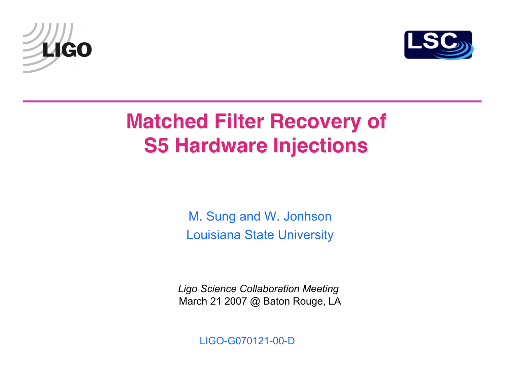



## **Matched Filter Recovery of S5 Hardware Injections**

M. Sung and W. Jonhson Louisiana State University

*Ligo Science Collaboration Meeting* March 21 2007 @ Baton Rouge, LA

LIGO-G070121-00-D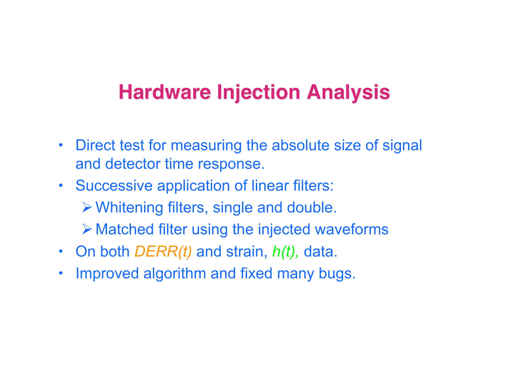### **Hardware Injection Analysis**

- Direct test for measuring the absolute size of signal and detector time response.
- Successive application of linear filters: Whitening filters, single and double.  $\triangleright$  Matched filter using the injected waveforms
- On both *DERR(t)* and strain, *h(t),* data.
- Improved algorithm and fixed many bugs.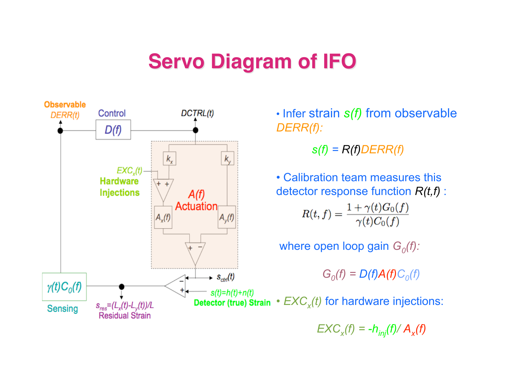#### **Servo Diagram of IFO**



• Infer strain *s(f)* from observable

*s(f) = R(f)DERR(f)*

• Calibration team measures this detector response function *R(t,f)* :  $R(t, f) = \frac{1 + \gamma(t)G_0(f)}{\gamma(t)C_0(f)}$ 

where open loop gain  $G_0(f)$ :

 $G_0(f) = D(f)A(f)C_0(f)$ 

Detector (true) Strain  $\cdot$   $EXC_x(t)$  for hardware injections:

 $EXC_{x}(f) = -h_{inj}(f)/A_{x}(f)$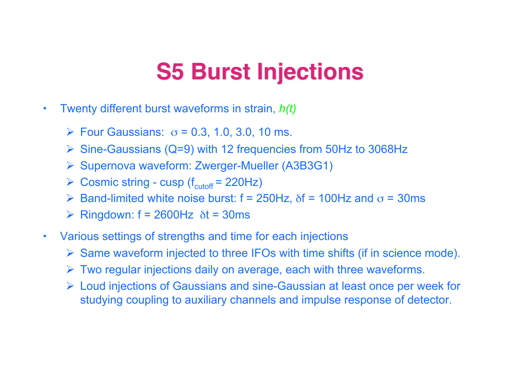## **S5 Burst Injections S5 Burst Injections**

- Twenty different burst waveforms in strain, *h(t)*
	- $\triangleright$  Four Gaussians:  $\sigma$  = 0.3, 1.0, 3.0, 10 ms.
	- $\triangleright$  Sine-Gaussians (Q=9) with 12 frequencies from 50Hz to 3068Hz
	- Supernova waveform: Zwerger-Mueller (A3B3G1)
	- $\triangleright$  Cosmic string cusp (f<sub>cutoff</sub> = 220Hz)
	- $\triangleright$  Band-limited white noise burst: f = 250Hz,  $\delta$ f = 100Hz and  $\sigma$  = 30ms
	- $\triangleright$  Ringdown: f = 2600Hz  $\delta t$  = 30ms
- Various settings of strengths and time for each injections
	- $\triangleright$  Same waveform injected to three IFOs with time shifts (if in science mode).
	- $\triangleright$  Two regular injections daily on average, each with three waveforms.
	- Loud injections of Gaussians and sine-Gaussian at least once per week for studying coupling to auxiliary channels and impulse response of detector.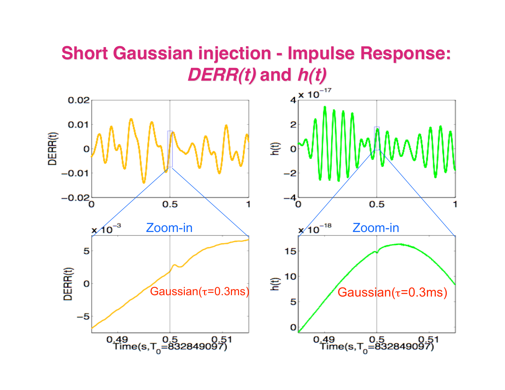# **Short Gaussian injection - Impulse Response:**

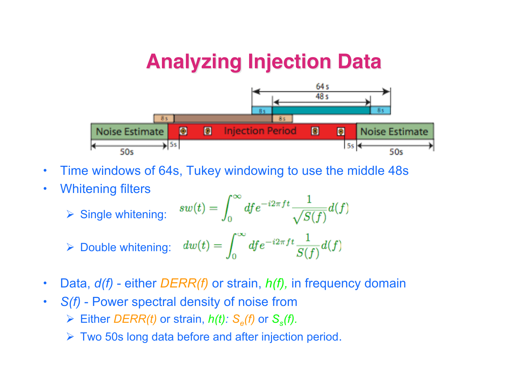#### **Analyzing Injection Data**



• Time windows of 64s, Tukey windowing to use the middle 48s

 $0<sup>0</sup>$ 

• Whitening filters

$$
\triangleright \text{ Single whitening:} \quad sw(t) = \int_0^\infty df e^{-i2\pi ft} \frac{1}{\sqrt{S(f)}} d(f)
$$

$$
\triangleright \text{ Double whitening:} \quad dw(t) = \int_0^\infty df e^{-i2\pi ft} \frac{1}{S(f)} d(f)
$$

- Data, *d(f)* either *DERR(f)* or strain, *h(f),* in frequency domain
- *S(f)* Power spectral density of noise from  $\triangleright$  Either *DERR(t)* or strain, *h(t):*  $S_e(f)$  or  $S_s(f)$ .
	- $\triangleright$  Two 50s long data before and after injection period.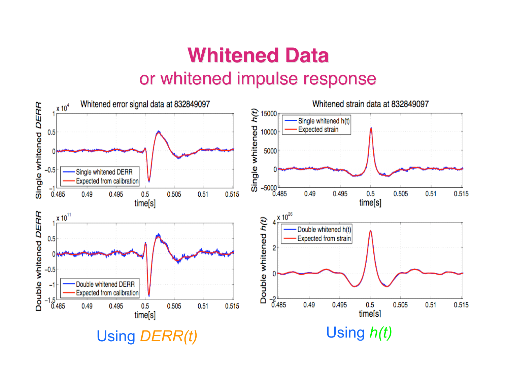#### **Whitened Data** or whitened impulse response

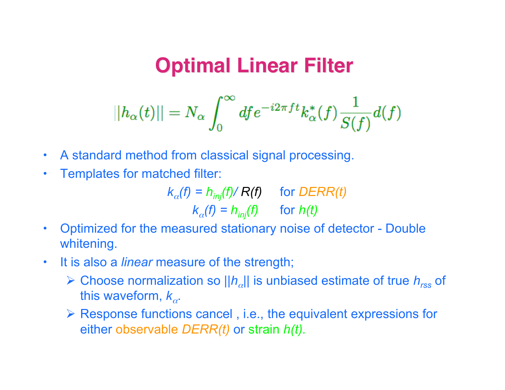#### **Optimal Linear Filter**

$$
||h_\alpha(t)||=N_\alpha\int_0^\infty df e^{-i2\pi f t}k_\alpha^*(f)\frac{1}{S(f)}d(f)
$$

- A standard method from classical signal processing.
- Templates for matched filter:

 $k_{\alpha}$ (*f*) =  $h_{inj}$ (*f*)/ *R*(*f*) for *DERR*(*t*)  $k_{\alpha}(f) = h_{\text{inj}}(f)$  for *h(t)* 

- Optimized for the measured stationary noise of detector Double whitening.
- It is also a *linear* measure of the strength;
	- Choose normalization so *||h*α*||* is unbiased estimate of true *hrss* of this waveform,  $k_{\alpha}$ .
	- Response functions cancel , i.e., the equivalent expressions for either observable *DERR(t)* or strain *h(t).*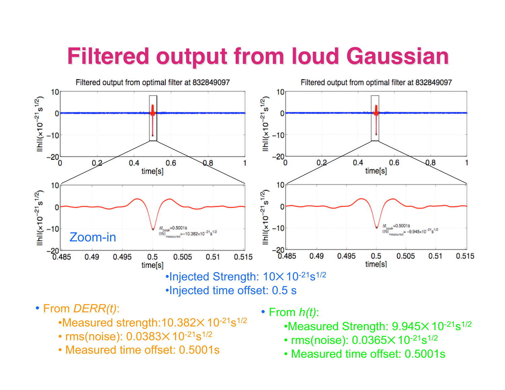# **Filtered output from loud Gaussian Filtered output from loud Gaussian**



- From *DERR(t)*:
	- $\cdot$ Measured strength:10.382 $\times$ 10<sup>-21</sup>s<sup>1/2</sup>
	- $rms(noise)$ :  $0.0383 \times 10^{-21} s^{1/2}$
	- Measured time offset: 0.5001s
- From *h(t)*:
	- $\cdot$ Measured Strength:  $9.945\times10^{-21}$ s<sup>1/2</sup>
	- $rms(noise)$ :  $0.0365 \times 10^{-21} s^{1/2}$
	- Measured time offset: 0.5001s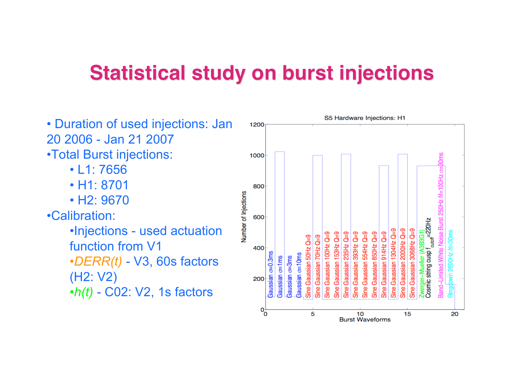#### **Statistical study on burst injections**

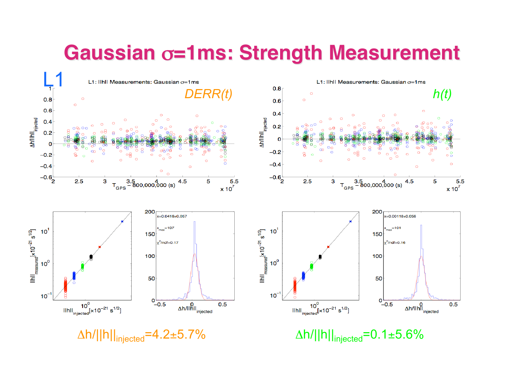#### **Gaussian** σ**=1ms: Strength Measurement**

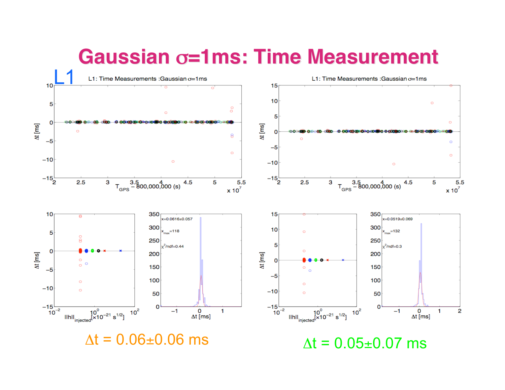#### **Gaussian** σ**=1ms: Time Measurement**

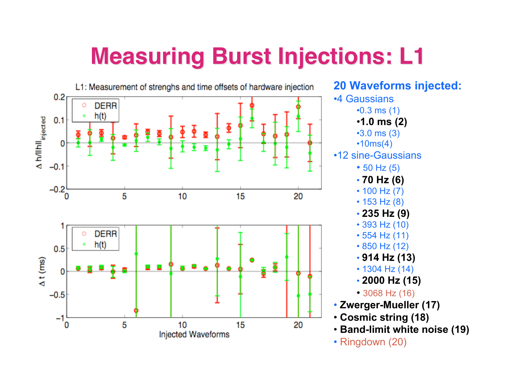## **Measuring Burst Injections: Measuring Burst Injections: L1**

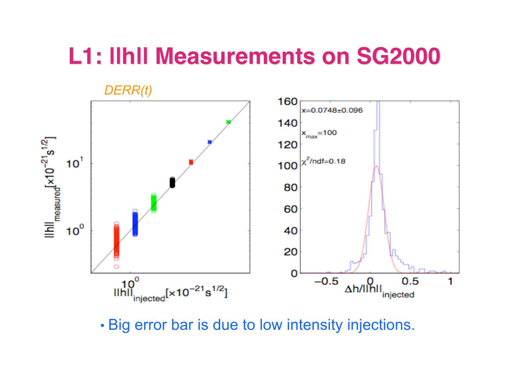## **L1: ||h|| Measurements on SG2000 L1: ||h|| Measurements on SG2000**



• Big error bar is due to low intensity injections.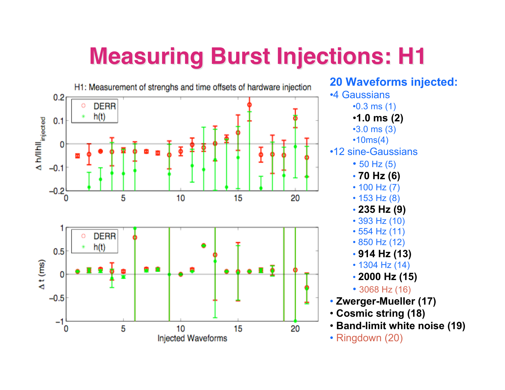# **Measuring Burst Injections: Measuring Burst Injections: H1**

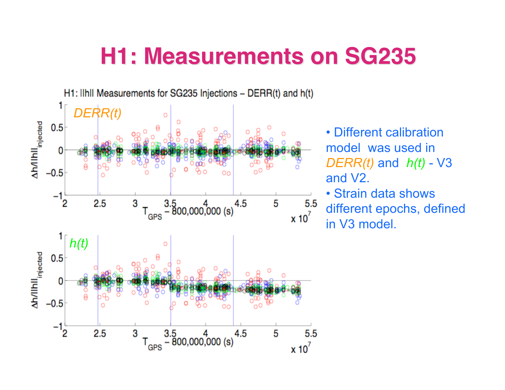## **H1: Measurements on SG235 H1: Measurements on SG235**



• Different calibration model was used in *DERR(t)* and *h(t)* - V3 and V2. • Strain data shows different epochs, defined

in V3 model.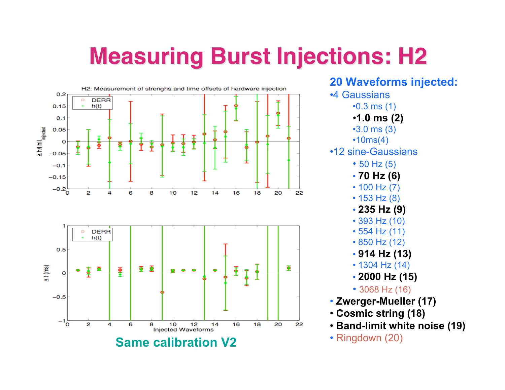## **Measuring Burst Injections: Measuring Burst Injections: H2**



**20 Waveforms injected:** •4 Gaussians •0.3 ms (1) •**1.0 ms (2)** •3.0 ms (3) •10ms(4) •12 sine-Gaussians • 50 Hz (5) • **70 Hz (6)** • 100 Hz (7) • 153 Hz (8) • **235 Hz (9)** • 393 Hz (10) • 554 Hz (11) • 850 Hz (12) • **914 Hz (13)** • 1304 Hz (14) • **2000 Hz (15)** • 3068 Hz (16) • **Zwerger-Mueller (17)** • **Cosmic string (18)** • **Band-limit white noise (19)**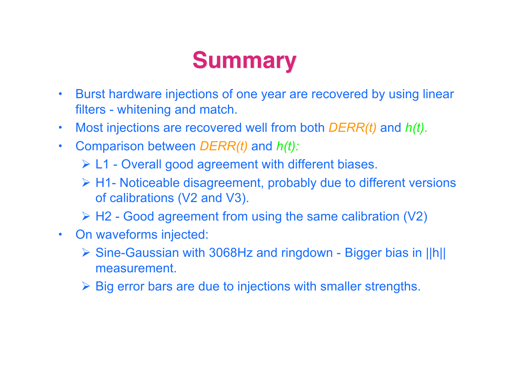# **Summary Summary**

- Burst hardware injections of one year are recovered by using linear filters - whitening and match.
- Most injections are recovered well from both *DERR(t)* and *h(t).*
- Comparison between *DERR(t)* and *h(t):*
	- L1 Overall good agreement with different biases.
	- H1- Noticeable disagreement, probably due to different versions of calibrations (V2 and V3).
	- $\triangleright$  H2 Good agreement from using the same calibration (V2)
- On waveforms injected:
	- Sine-Gaussian with 3068Hz and ringdown Bigger bias in ||h|| measurement.
	- $\triangleright$  Big error bars are due to injections with smaller strengths.